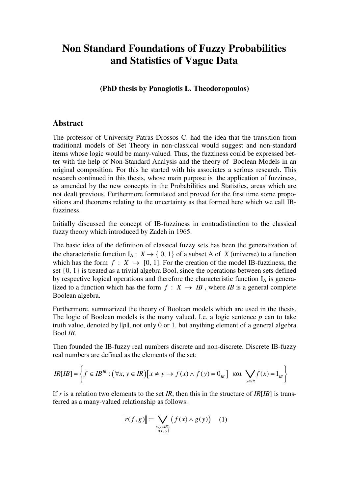## **Non Standard Foundations of Fuzzy Probabilities and Statistics of Vague Data**

**(PhD thesis by Panagiotis L. Theodoropoulos)** 

## **Abstract**

The professor of University Patras Drossos C. had the idea that the transition from traditional models of Set Theory in non-classical would suggest and non-standard items whose logic would be many-valued. Thus, the fuzziness could be expressed better with the help of Non-Standard Analysis and the theory of Boolean Models in an original composition. For this he started with his associates a serious research. This research continued in this thesis, whose main purpose is the application of fuzziness, as amended by the new concepts in the Probabilities and Statistics, areas which are not dealt previous. Furthermore formulated and proved for the first time some propositions and theorems relating to the uncertainty as that formed here which we call IBfuzziness.

Initially discussed the concept of IB-fuzziness in contradistinction to the classical fuzzy theory which introduced by Zadeh in 1965.

The basic idea of the definition of classical fuzzy sets has been the generalization of the characteristic function  $I_A: X \to \{0, 1\}$  of a subset A of *X* (universe) to a function which has the form  $f: X \to [0, 1]$ . For the creation of the model IB-fuzziness, the set {0, 1} is treated as a trivial algebra Bool, since the operations between sets defined by respective logical operations and therefore the characteristic function  $I_A$  is generalized to a function which has the form  $f : X \rightarrow IB$ , where *IB* is a general complete Boolean algebra.

Furthermore, summarized the theory of Boolean models which are used in the thesis. The logic of Boolean models is the many valued. I.e. a logic sentence *p* can to take truth value, denoted by ||*p*||, not only 0 or 1, but anything element of a general algebra Bool *IB*.

Then founded the IB-fuzzy real numbers discrete and non-discrete. Discrete IB-fuzzy real numbers are defined as the elements of the set:

$$
IR[IB] = \left\{ f \in IB^{IR} : (\forall x, y \in IR) [x \neq y \rightarrow f(x) \land f(y) = 0_B] \text{ Kau } \bigvee_{x \in IR} f(x) = 1_B \right\}
$$

If *r* is a relation two elements to the set *IR*, then this in the structure of *IR*[*IB*] is transferred as a many-valued relationship as follows:

$$
||r(f,g)|| := \bigvee_{\substack{x,y \in \mathbb{R}^n:\\r(x,y)}} \big(f(x) \wedge g(y)\big) \quad (1)
$$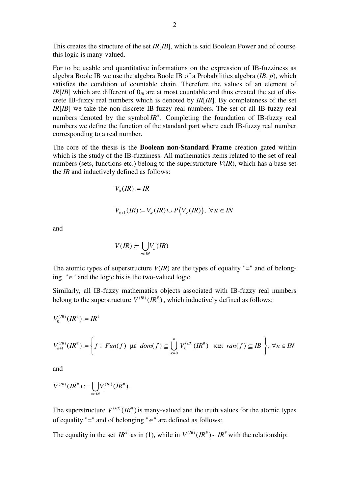This creates the structure of the set *IR*[*IB*], which is said Boolean Power and of course this logic is many-valued.

For to be usable and quantitative informations on the expression of IB-fuzziness as algebra Boole IB we use the algebra Boole IB of a Probabilities algebra (*IB*, *p*), which satisfies the condition of countable chain. Therefore the values of an element of  $IR[IB]$  which are different of  $0<sub>IB</sub>$  are at most countable and thus created the set of discrete IB-fuzzy real numbers which is denoted by *IR*[*IB*]. By completeness of the set *IR*[*IB*] we take the non-discrete IB-fuzzy real numbers. The set of all IB-fuzzy real numbers denoted by the symbol  $IR^*$ . Completing the foundation of IB-fuzzy real numbers we define the function of the standard part where each IB-fuzzy real number corresponding to a real number.

The core of the thesis is the **Boolean non-Standard Frame** creation gated within which is the study of the IB-fuzziness. All mathematics items related to the set of real numbers (sets, functions etc.) belong to the superstructure *V*(*IR*), which has a base set the *IR* and inductively defined as follows:

$$
V_0(IR):=IR
$$

$$
V_{\kappa+1}(IR) := V_{\kappa}(IR) \cup P(V_{\kappa}(IR)), \ \forall \kappa \in IN
$$

and

$$
V(IR) := \bigcup_{n \in IN} V_n(IR)
$$

The atomic types of superstructure  $V$ (*IR*) are the types of equality "=" and of belonging "∈" and the logic his is the two-valued logic.

Similarly, all IB-fuzzy mathematics objects associated with IB-fuzzy real numbers belong to the superstructure  $V^{(B)}(IR^*)$ , which inductively defined as follows:

$$
V_0^{(IB)}(IR^{\#}) \coloneqq IR^{\#}
$$

$$
V_{n+1}^{(IB)}(IR^{\#}) := \left\{ f : \, Fun(f) \, \text{ we } \, dom(f) \subseteq \bigcup_{\kappa=0}^{n} V_{\kappa}^{(IB)}(IR^{\#}) \, \text{ we have } \, ran(f) \subseteq IB \, \right\}, \, \forall n \in IN
$$

and

$$
V^{(IB)}(IR^*)\coloneqq \bigcup_{n\in I\!N}V_n^{(IB)}(IR^*).
$$

The superstructure  $V^{(B)}(IR^*)$  is many-valued and the truth values for the atomic types of equality "=" and of belonging "∈" are defined as follows:

The equality in the set  $IR^*$  as in (1), while in  $V^{(IB)}(IR^*)$  -  $IR^*$  with the relationship: